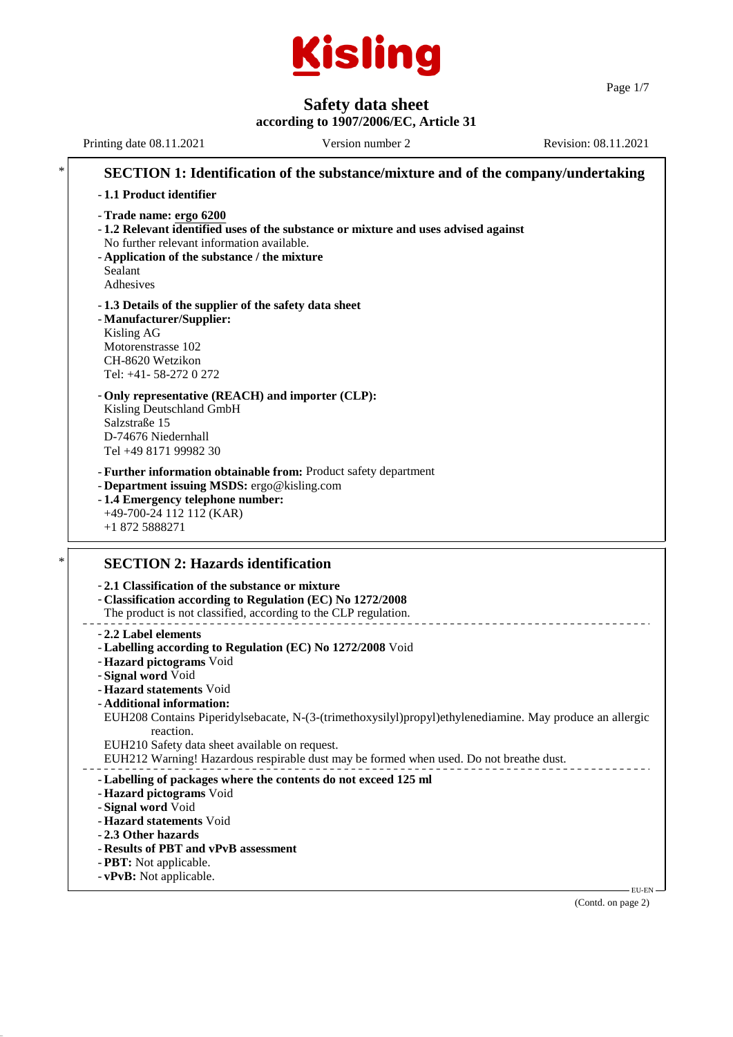

Page 1/7

# **Safety data sheet**

**according to 1907/2006/EC, Article 31**

Printing date 08.11.2021 Version number 2 Revision: 08.11.2021 **SECTION 1: Identification of the substance/mixture and of the company/undertaking** - **1.1 Product identifier** - **Trade name: ergo 6200** - **1.2 Relevant identified uses of the substance or mixture and uses advised against** No further relevant information available. - **Application of the substance / the mixture** Sealant Adhesives - **1.3 Details of the supplier of the safety data sheet** - **Manufacturer/Supplier:** Kisling AG Motorenstrasse 102 CH-8620 Wetzikon Tel: +41- 58-272 0 272 - **Only representative (REACH) and importer (CLP):** Kisling Deutschland GmbH Salzstraße 15 D-74676 Niedernhall Tel +49 8171 99982 30 - **Further information obtainable from:** Product safety department - **Department issuing MSDS:** ergo@kisling.com - **1.4 Emergency telephone number:** +49-700-24 112 112 (KAR) +1 872 5888271 **SECTION 2: Hazards identification** - **2.1 Classification of the substance or mixture** - **Classification according to Regulation (EC) No 1272/2008** The product is not classified, according to the CLP regulation. - **2.2 Label elements** - **Labelling according to Regulation (EC) No 1272/2008** Void - **Hazard pictograms** Void - **Signal word** Void - **Hazard statements** Void - **Additional information:** EUH208 Contains Piperidylsebacate, N-(3-(trimethoxysilyl)propyl)ethylenediamine. May produce an allergic reaction. EUH210 Safety data sheet available on request. EUH212 Warning! Hazardous respirable dust may be formed when used. Do not breathe dust. - **Labelling of packages where the contents do not exceed 125 ml** - **Hazard pictograms** Void - **Signal word** Void - **Hazard statements** Void - **2.3 Other hazards** - **Results of PBT and vPvB assessment** - **PBT:** Not applicable. - **vPvB:** Not applicable. **EU-EN** 

(Contd. on page 2)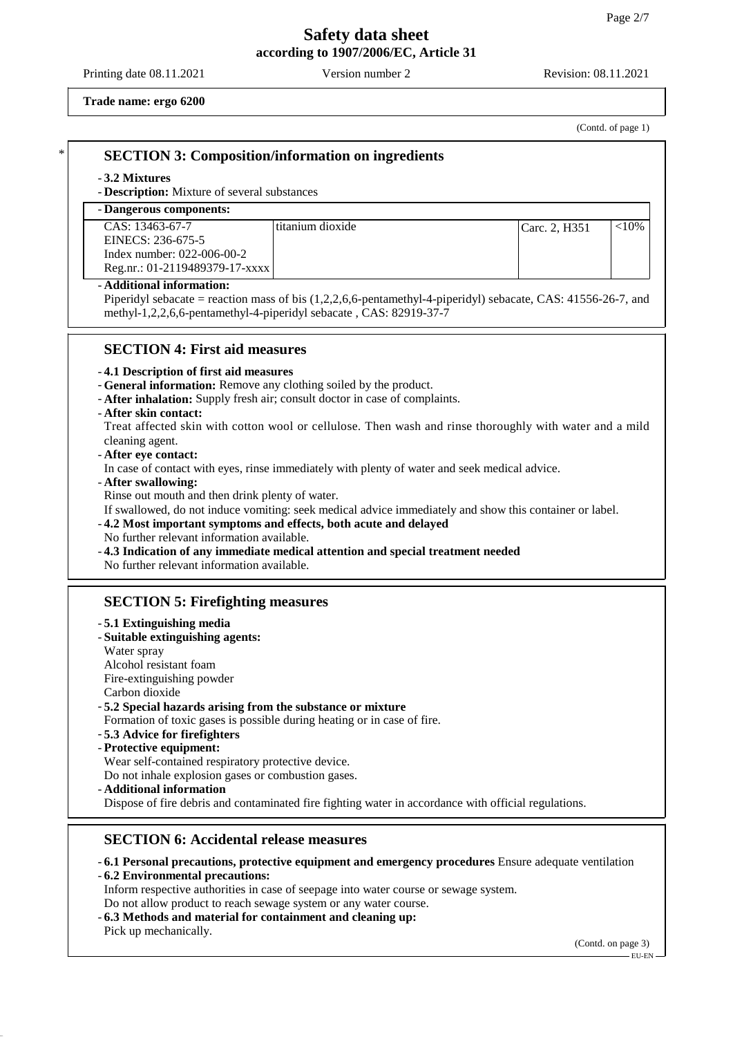Printing date 08.11.2021 Version number 2 Revision: 08.11.2021

**Trade name: ergo 6200**

(Contd. of page 1)

# \* **SECTION 3: Composition/information on ingredients**

#### - **3.2 Mixtures**

- **Description:** Mixture of several substances

## - **Dangerous components:**

| CAS: 13463-67-7                | l titanium dioxide | Carc. 2. H351 | ${<}10\%$ |
|--------------------------------|--------------------|---------------|-----------|
| EINECS: 236-675-5              |                    |               |           |
| Index number: $022-006-00-2$   |                    |               |           |
| Reg.nr.: 01-2119489379-17-xxxx |                    |               |           |

#### - **Additional information:**

Piperidyl sebacate = reaction mass of bis (1,2,2,6,6-pentamethyl-4-piperidyl) sebacate, CAS: 41556-26-7, and methyl-1,2,2,6,6-pentamethyl-4-piperidyl sebacate , CAS: 82919-37-7

## **SECTION 4: First aid measures**

### - **4.1 Description of first aid measures**

- **General information:** Remove any clothing soiled by the product.
- **After inhalation:** Supply fresh air; consult doctor in case of complaints.

#### - **After skin contact:**

Treat affected skin with cotton wool or cellulose. Then wash and rinse thoroughly with water and a mild cleaning agent.

- **After eye contact:**

In case of contact with eyes, rinse immediately with plenty of water and seek medical advice.

- **After swallowing:**

Rinse out mouth and then drink plenty of water.

If swallowed, do not induce vomiting: seek medical advice immediately and show this container or label.

- **4.2 Most important symptoms and effects, both acute and delayed**

- No further relevant information available.
- **4.3 Indication of any immediate medical attention and special treatment needed**

No further relevant information available.

## **SECTION 5: Firefighting measures**

#### - **5.1 Extinguishing media**

- **Suitable extinguishing agents:**
- Water spray
- Alcohol resistant foam
- Fire-extinguishing powder
- Carbon dioxide

### - **5.2 Special hazards arising from the substance or mixture**

Formation of toxic gases is possible during heating or in case of fire.

- **5.3 Advice for firefighters**
- **Protective equipment:**

Wear self-contained respiratory protective device.

Do not inhale explosion gases or combustion gases.

- **Additional information**

Dispose of fire debris and contaminated fire fighting water in accordance with official regulations.

## **SECTION 6: Accidental release measures**

- **6.1 Personal precautions, protective equipment and emergency procedures** Ensure adequate ventilation
- **6.2 Environmental precautions:**

Inform respective authorities in case of seepage into water course or sewage system.

- Do not allow product to reach sewage system or any water course.
- **6.3 Methods and material for containment and cleaning up:** Pick up mechanically.

(Contd. on page 3)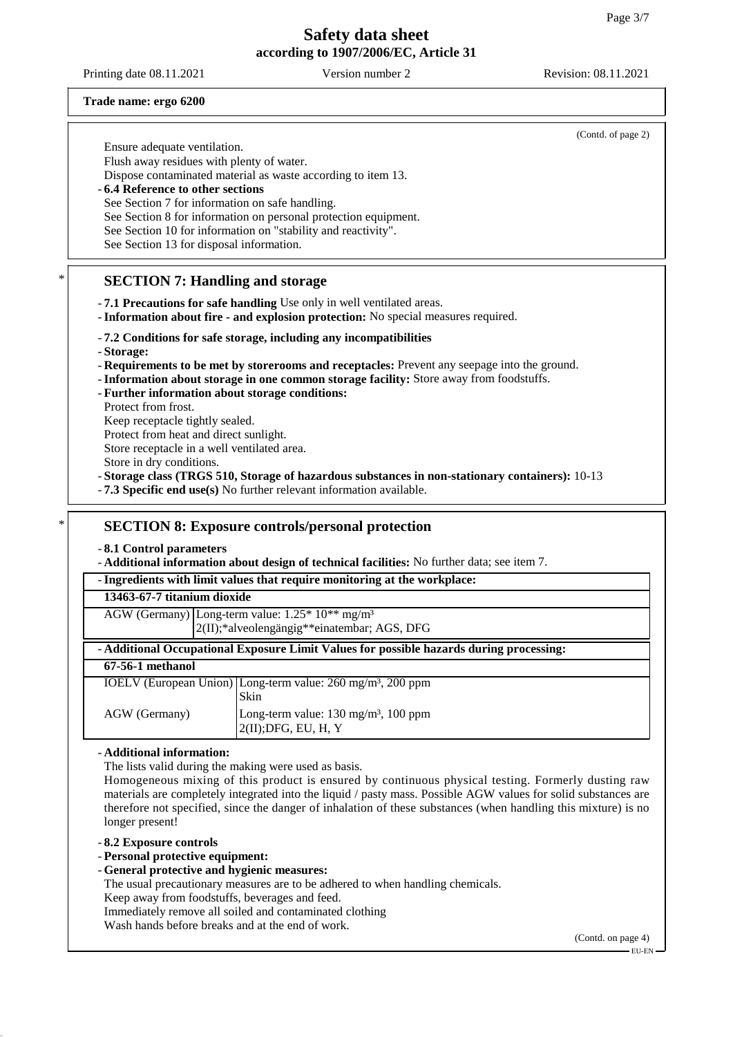Printing date 08.11.2021 Version number 2 Revision: 08.11.2021

#### **Trade name: ergo 6200**

(Contd. of page 2) Ensure adequate ventilation. Flush away residues with plenty of water. Dispose contaminated material as waste according to item 13. - **6.4 Reference to other sections** See Section 7 for information on safe handling. See Section 8 for information on personal protection equipment. See Section 10 for information on "stability and reactivity". See Section 13 for disposal information. **SECTION 7: Handling and storage** - **7.1 Precautions for safe handling** Use only in well ventilated areas. - **Information about fire - and explosion protection:** No special measures required. - **7.2 Conditions for safe storage, including any incompatibilities** - **Storage:** - **Requirements to be met by storerooms and receptacles:** Prevent any seepage into the ground. - **Information about storage in one common storage facility:** Store away from foodstuffs. - **Further information about storage conditions:** Protect from frost. Keep receptacle tightly sealed. Protect from heat and direct sunlight. Store receptacle in a well ventilated area. Store in dry conditions.

- **Storage class (TRGS 510, Storage of hazardous substances in non-stationary containers):** 10-13

- **7.3 Specific end use(s)** No further relevant information available.

### \* **SECTION 8: Exposure controls/personal protection**

- **8.1 Control parameters**

- **Additional information about design of technical facilities:** No further data; see item 7.

#### - **Ingredients with limit values that require monitoring at the workplace:**

#### **13463-67-7 titanium dioxide**

AGW (Germany) Long-term value: 1.25\* 10\*\* mg/m³ 2(II);\*alveolengängig\*\*einatembar; AGS, DFG

## - **Additional Occupational Exposure Limit Values for possible hazards during processing:**

# **67-56-1 methanol**

IOELV (European Union) Long-term value: 260 mg/m³, 200 ppm Skin AGW (Germany) Long-term value: 130 mg/m<sup>3</sup>, 100 ppm 2(II);DFG, EU, H, Y

#### - **Additional information:**

The lists valid during the making were used as basis.

Homogeneous mixing of this product is ensured by continuous physical testing. Formerly dusting raw materials are completely integrated into the liquid / pasty mass. Possible AGW values for solid substances are therefore not specified, since the danger of inhalation of these substances (when handling this mixture) is no longer present!

### - **8.2 Exposure controls**

- **Personal protective equipment:**

- **General protective and hygienic measures:**

The usual precautionary measures are to be adhered to when handling chemicals.

Keep away from foodstuffs, beverages and feed.

Immediately remove all soiled and contaminated clothing

Wash hands before breaks and at the end of work.

(Contd. on page 4)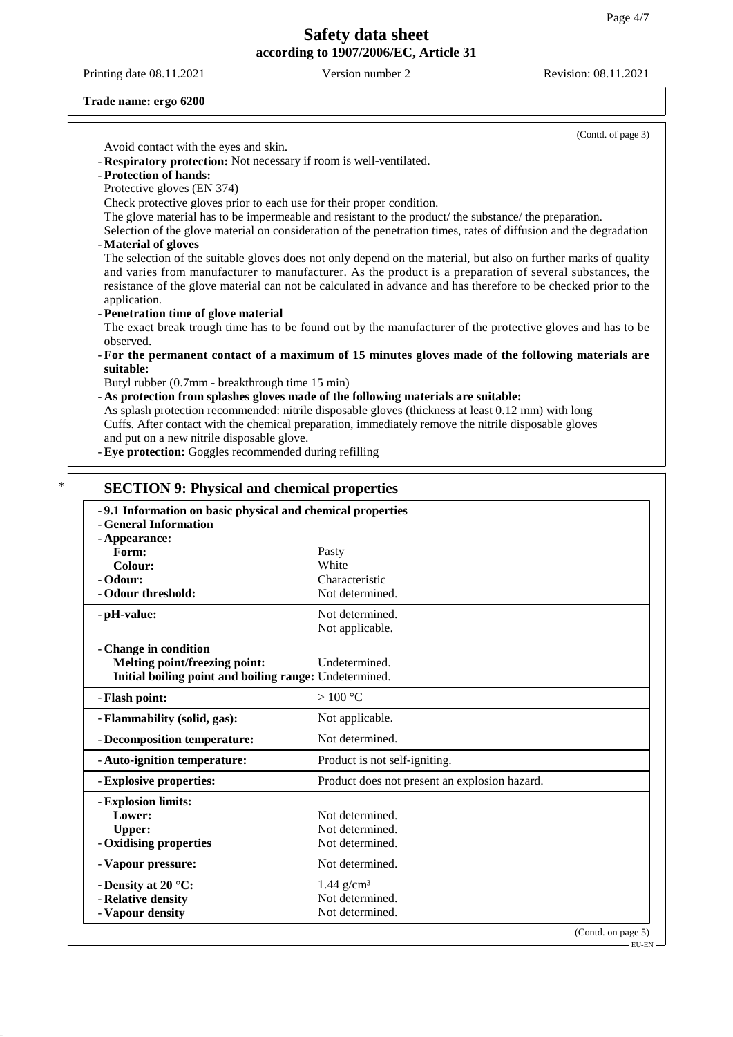Printing date 08.11.2021 Version number 2 Revision: 08.11.2021

#### **Trade name: ergo 6200**

(Contd. of page 3) Avoid contact with the eyes and skin. - **Respiratory protection:** Not necessary if room is well-ventilated. - **Protection of hands:** Protective gloves (EN 374) Check protective gloves prior to each use for their proper condition. The glove material has to be impermeable and resistant to the product/ the substance/ the preparation. Selection of the glove material on consideration of the penetration times, rates of diffusion and the degradation - **Material of gloves** The selection of the suitable gloves does not only depend on the material, but also on further marks of quality and varies from manufacturer to manufacturer. As the product is a preparation of several substances, the resistance of the glove material can not be calculated in advance and has therefore to be checked prior to the application. - **Penetration time of glove material** The exact break trough time has to be found out by the manufacturer of the protective gloves and has to be observed. - **For the permanent contact of a maximum of 15 minutes gloves made of the following materials are suitable:** Butyl rubber (0.7mm - breakthrough time 15 min) - **As protection from splashes gloves made of the following materials are suitable:** As splash protection recommended: nitrile disposable gloves (thickness at least 0.12 mm) with long Cuffs. After contact with the chemical preparation, immediately remove the nitrile disposable gloves and put on a new nitrile disposable glove. - **Eye protection:** Goggles recommended during refilling **SECTION 9: Physical and chemical properties** - **9.1 Information on basic physical and chemical properties** - **General Information** - **Appearance:** Form: Pasty **Colour:** White - **Odour:** Characteristic - Odour threshold: Not determined. - **pH-value:** Not determined. Not applicable. - **Change in condition**

| Melting point/freezing point:                          | Undetermined.                                 |  |
|--------------------------------------------------------|-----------------------------------------------|--|
| Initial boiling point and boiling range: Undetermined. |                                               |  |
| - Flash point:                                         | >100 °C                                       |  |
| - Flammability (solid, gas):                           | Not applicable.                               |  |
| - Decomposition temperature:                           | Not determined.                               |  |
| - Auto-ignition temperature:                           | Product is not self-igniting.                 |  |
| - Explosive properties:                                | Product does not present an explosion hazard. |  |
| - Explosion limits:                                    |                                               |  |
| Lower:                                                 | Not determined.                               |  |
| Upper:                                                 | Not determined.                               |  |
| - Oxidising properties                                 | Not determined.                               |  |
| - Vapour pressure:                                     | Not determined.                               |  |
| - Density at 20 $^{\circ}$ C:                          | $1.44$ g/cm <sup>3</sup>                      |  |
| - Relative density                                     | Not determined.                               |  |
| - Vapour density                                       | Not determined.                               |  |
|                                                        | (Contd. on page 5)                            |  |

EU-EN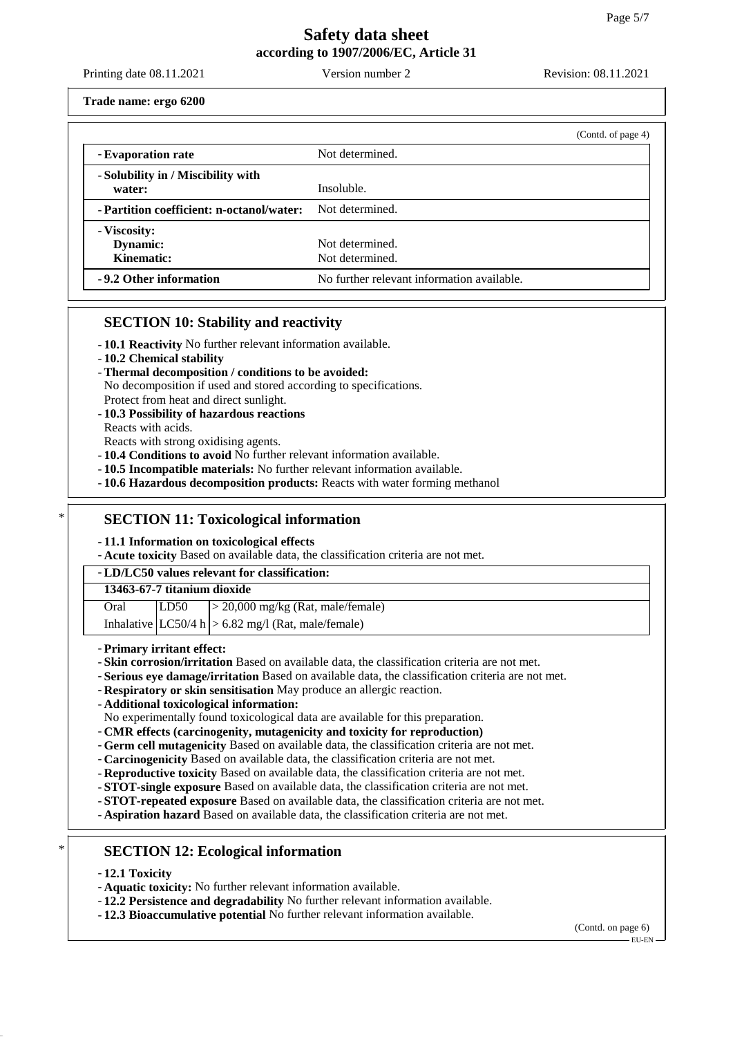Printing date 08.11.2021 Version number 2 Revision: 08.11.2021

**Trade name: ergo 6200**

|                                                           | (Contd. of page 4)                         |
|-----------------------------------------------------------|--------------------------------------------|
| - Evaporation rate                                        | Not determined.                            |
| - Solubility in / Miscibility with<br>water:              | Insoluble.                                 |
| - Partition coefficient: n-octanol/water: Not determined. |                                            |
| - Viscosity:<br>Dynamic:<br>Kinematic:                    | Not determined.<br>Not determined.         |
| -9.2 Other information                                    | No further relevant information available. |

## **SECTION 10: Stability and reactivity**

- **10.1 Reactivity** No further relevant information available.
- **10.2 Chemical stability**
- **Thermal decomposition / conditions to be avoided:**
- No decomposition if used and stored according to specifications.
- Protect from heat and direct sunlight.
- **10.3 Possibility of hazardous reactions**
- Reacts with acids.
- Reacts with strong oxidising agents.
- **10.4 Conditions to avoid** No further relevant information available.
- **10.5 Incompatible materials:** No further relevant information available.
- **10.6 Hazardous decomposition products:** Reacts with water forming methanol

## **SECTION 11: Toxicological information**

- **11.1 Information on toxicological effects**

- **Acute toxicity** Based on available data, the classification criteria are not met.

### - **LD/LC50 values relevant for classification:**

| 13463-67-7 titanium dioxide |      |                                        |
|-----------------------------|------|----------------------------------------|
| Oral                        | LD50 | $\geq$ 20,000 mg/kg (Rat, male/female) |

|  | Inhalative $ LC50/4 h  > 6.82$ mg/l (Rat, male/female) |
|--|--------------------------------------------------------|

- **Primary irritant effect:**
- **Skin corrosion/irritation** Based on available data, the classification criteria are not met.
- **Serious eye damage/irritation** Based on available data, the classification criteria are not met.
- **Respiratory or skin sensitisation** May produce an allergic reaction.
- **Additional toxicological information:**

No experimentally found toxicological data are available for this preparation.

- **CMR effects (carcinogenity, mutagenicity and toxicity for reproduction)**
- **Germ cell mutagenicity** Based on available data, the classification criteria are not met.
- **Carcinogenicity** Based on available data, the classification criteria are not met.
- **Reproductive toxicity** Based on available data, the classification criteria are not met.
- **STOT-single exposure** Based on available data, the classification criteria are not met.
- **STOT-repeated exposure** Based on available data, the classification criteria are not met.
- **Aspiration hazard** Based on available data, the classification criteria are not met.
- **SECTION 12: Ecological information**
- **12.1 Toxicity**
- **Aquatic toxicity:** No further relevant information available.
- **12.2 Persistence and degradability** No further relevant information available.
- **12.3 Bioaccumulative potential** No further relevant information available.

(Contd. on page 6) EU-EN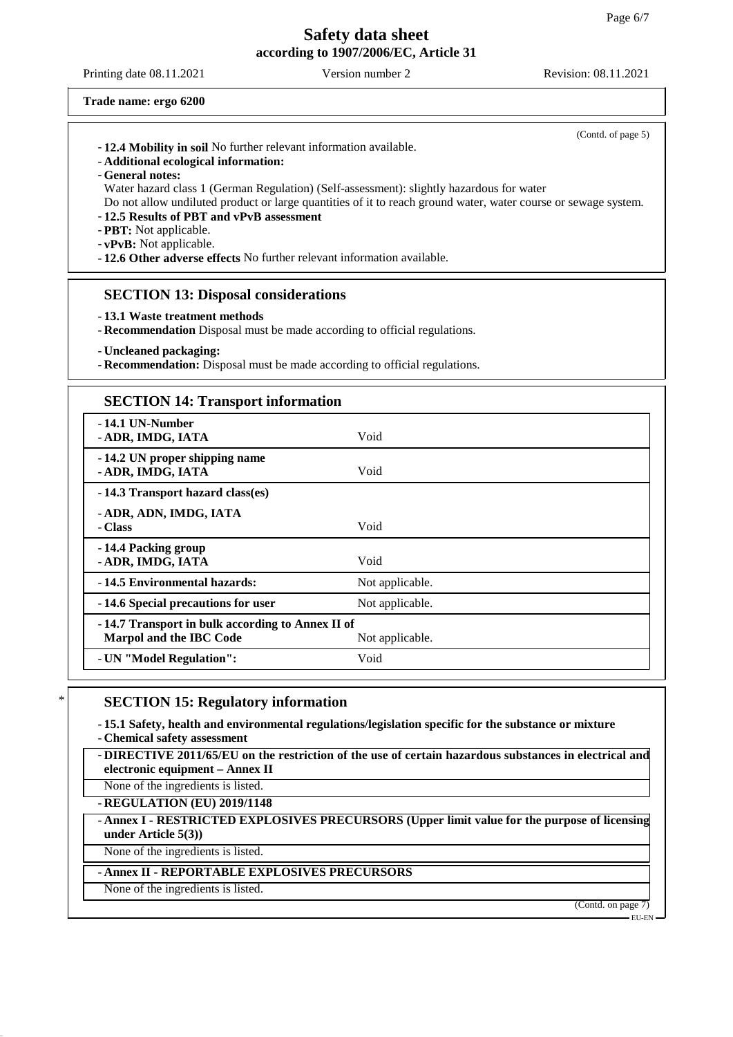Printing date 08.11.2021 Version number 2 Revision: 08.11.2021

(Contd. of page 5)

**Trade name: ergo 6200**

| - 12.4 Mobility in soil No further relevant information available. |  |
|--------------------------------------------------------------------|--|
|--------------------------------------------------------------------|--|

- **Additional ecological information:**
- **General notes:**

Water hazard class 1 (German Regulation) (Self-assessment): slightly hazardous for water Do not allow undiluted product or large quantities of it to reach ground water, water course or sewage system.

- **12.5 Results of PBT and vPvB assessment**

- **PBT:** Not applicable.

- **vPvB:** Not applicable.

- **12.6 Other adverse effects** No further relevant information available.

### **SECTION 13: Disposal considerations**

- **13.1 Waste treatment methods**
- **Recommendation** Disposal must be made according to official regulations.
- **Uncleaned packaging:**

- **Recommendation:** Disposal must be made according to official regulations.

### **SECTION 14: Transport information**

| -14.1 UN-Number<br>- ADR, IMDG, IATA                                        | Void            |
|-----------------------------------------------------------------------------|-----------------|
| -14.2 UN proper shipping name<br>- ADR, IMDG, IATA                          | Void            |
| -14.3 Transport hazard class(es)                                            |                 |
| - ADR, ADN, IMDG, IATA<br>- Class                                           | Void            |
| -14.4 Packing group<br>- ADR, IMDG, IATA                                    | Void            |
| -14.5 Environmental hazards:                                                | Not applicable. |
| -14.6 Special precautions for user                                          | Not applicable. |
| -14.7 Transport in bulk according to Annex II of<br>Marpol and the IBC Code | Not applicable. |
| - UN "Model Regulation":                                                    | Void            |

## **SECTION 15: Regulatory information**

- **15.1 Safety, health and environmental regulations/legislation specific for the substance or mixture** - **Chemical safety assessment**

- **DIRECTIVE 2011/65/EU on the restriction of the use of certain hazardous substances in electrical and electronic equipment – Annex II**

None of the ingredients is listed. - **REGULATION (EU) 2019/1148**

- **Annex I - RESTRICTED EXPLOSIVES PRECURSORS (Upper limit value for the purpose of licensing**

## **under Article 5(3))**

None of the ingredients is listed.

### - **Annex II - REPORTABLE EXPLOSIVES PRECURSORS**

None of the ingredients is listed.

(Contd. on page 7)

EU-EN